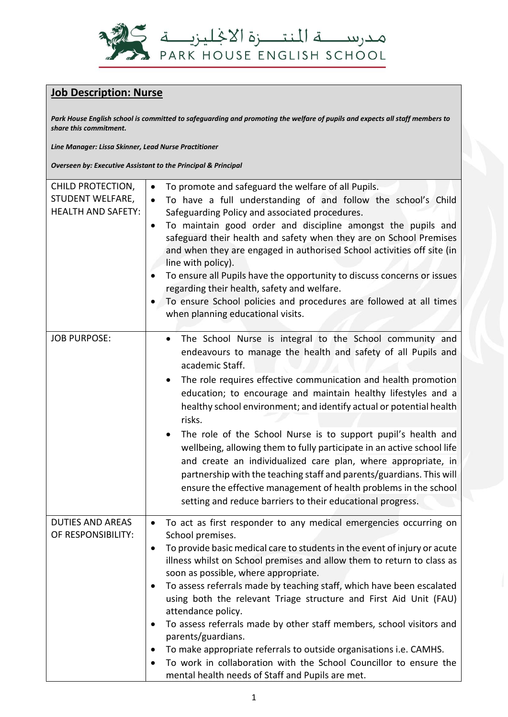

## **Job Description: Nurse**

*Park House English school is committed to safeguarding and promoting the welfare of pupils and expects all staff members to share this commitment.*

*Line Manager: Lissa Skinner, Lead Nurse Practitioner*

*Overseen by: Executive Assistant to the Principal & Principal*

| CHILD PROTECTION,<br>STUDENT WELFARE,<br><b>HEALTH AND SAFETY:</b> | To promote and safeguard the welfare of all Pupils.<br>To have a full understanding of and follow the school's Child<br>Safeguarding Policy and associated procedures.<br>To maintain good order and discipline amongst the pupils and<br>safeguard their health and safety when they are on School Premises<br>and when they are engaged in authorised School activities off site (in<br>line with policy).<br>To ensure all Pupils have the opportunity to discuss concerns or issues<br>regarding their health, safety and welfare.<br>To ensure School policies and procedures are followed at all times<br>when planning educational visits.                                                                                                                                                               |
|--------------------------------------------------------------------|-----------------------------------------------------------------------------------------------------------------------------------------------------------------------------------------------------------------------------------------------------------------------------------------------------------------------------------------------------------------------------------------------------------------------------------------------------------------------------------------------------------------------------------------------------------------------------------------------------------------------------------------------------------------------------------------------------------------------------------------------------------------------------------------------------------------|
| <b>JOB PURPOSE:</b>                                                | The School Nurse is integral to the School community and<br>$\bullet$<br>endeavours to manage the health and safety of all Pupils and<br>academic Staff.<br>The role requires effective communication and health promotion<br>$\bullet$<br>education; to encourage and maintain healthy lifestyles and a<br>healthy school environment; and identify actual or potential health<br>risks.<br>The role of the School Nurse is to support pupil's health and<br>wellbeing, allowing them to fully participate in an active school life<br>and create an individualized care plan, where appropriate, in<br>partnership with the teaching staff and parents/guardians. This will<br>ensure the effective management of health problems in the school<br>setting and reduce barriers to their educational progress. |
| <b>DUTIES AND AREAS</b><br>OF RESPONSIBILITY:                      | To act as first responder to any medical emergencies occurring on<br>$\bullet$<br>School premises.<br>To provide basic medical care to students in the event of injury or acute<br>٠<br>illness whilst on School premises and allow them to return to class as<br>soon as possible, where appropriate.<br>To assess referrals made by teaching staff, which have been escalated<br>٠<br>using both the relevant Triage structure and First Aid Unit (FAU)<br>attendance policy.<br>To assess referrals made by other staff members, school visitors and<br>parents/guardians.<br>To make appropriate referrals to outside organisations i.e. CAMHS.<br>To work in collaboration with the School Councillor to ensure the<br>mental health needs of Staff and Pupils are met.                                    |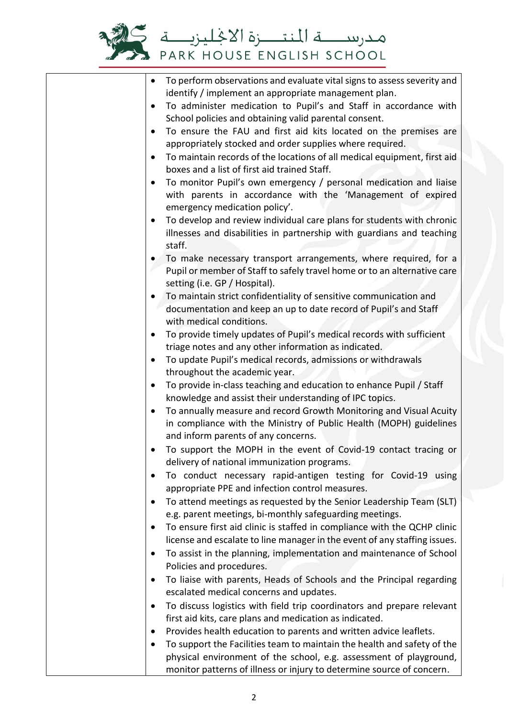

| To perform observations and evaluate vital signs to assess severity and<br>$\bullet$<br>identify / implement an appropriate management plan.                                         |
|--------------------------------------------------------------------------------------------------------------------------------------------------------------------------------------|
| To administer medication to Pupil's and Staff in accordance with<br>$\bullet$<br>School policies and obtaining valid parental consent.                                               |
| To ensure the FAU and first aid kits located on the premises are<br>$\bullet$<br>appropriately stocked and order supplies where required.                                            |
| To maintain records of the locations of all medical equipment, first aid<br>$\bullet$<br>boxes and a list of first aid trained Staff.                                                |
| To monitor Pupil's own emergency / personal medication and liaise<br>$\bullet$<br>with parents in accordance with the 'Management of expired<br>emergency medication policy'.        |
| To develop and review individual care plans for students with chronic<br>illnesses and disabilities in partnership with guardians and teaching<br>staff.                             |
| To make necessary transport arrangements, where required, for a<br>Pupil or member of Staff to safely travel home or to an alternative care<br>setting (i.e. GP / Hospital).         |
| To maintain strict confidentiality of sensitive communication and<br>documentation and keep an up to date record of Pupil's and Staff<br>with medical conditions.                    |
| To provide timely updates of Pupil's medical records with sufficient<br>$\bullet$<br>triage notes and any other information as indicated.                                            |
| To update Pupil's medical records, admissions or withdrawals<br>$\bullet$<br>throughout the academic year.                                                                           |
| To provide in-class teaching and education to enhance Pupil / Staff<br>$\bullet$<br>knowledge and assist their understanding of IPC topics.                                          |
| To annually measure and record Growth Monitoring and Visual Acuity<br>٠<br>in compliance with the Ministry of Public Health (MOPH) guidelines<br>and inform parents of any concerns. |
| To support the MOPH in the event of Covid-19 contact tracing or<br>delivery of national immunization programs.                                                                       |
| To conduct necessary rapid-antigen testing for Covid-19 using<br>appropriate PPE and infection control measures.                                                                     |
| To attend meetings as requested by the Senior Leadership Team (SLT)<br>٠<br>e.g. parent meetings, bi-monthly safeguarding meetings.                                                  |
| To ensure first aid clinic is staffed in compliance with the QCHP clinic<br>license and escalate to line manager in the event of any staffing issues.                                |
| To assist in the planning, implementation and maintenance of School<br>٠<br>Policies and procedures.                                                                                 |
| To liaise with parents, Heads of Schools and the Principal regarding<br>٠<br>escalated medical concerns and updates.                                                                 |
| To discuss logistics with field trip coordinators and prepare relevant<br>$\bullet$                                                                                                  |
| first aid kits, care plans and medication as indicated.<br>Provides health education to parents and written advice leaflets.<br>٠                                                    |
| To support the Facilities team to maintain the health and safety of the                                                                                                              |
| physical environment of the school, e.g. assessment of playground,                                                                                                                   |
| monitor patterns of illness or injury to determine source of concern.                                                                                                                |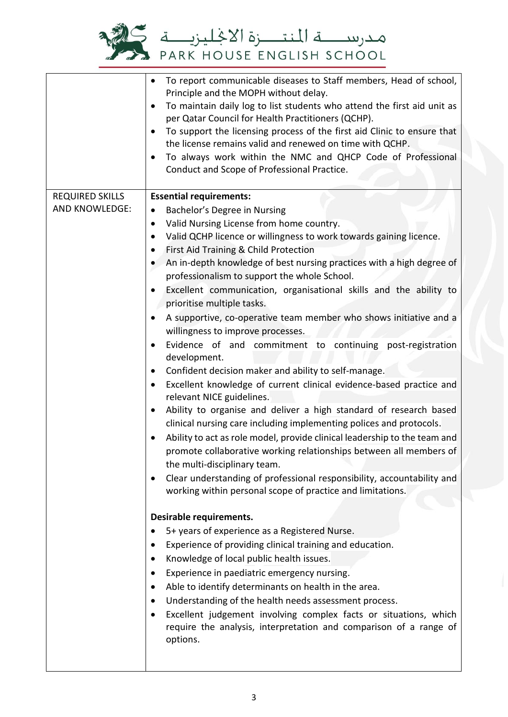

|                        | To report communicable diseases to Staff members, Head of school,<br>$\bullet$<br>Principle and the MOPH without delay.<br>To maintain daily log to list students who attend the first aid unit as<br>$\bullet$<br>per Qatar Council for Health Practitioners (QCHP).<br>To support the licensing process of the first aid Clinic to ensure that<br>the license remains valid and renewed on time with QCHP.<br>To always work within the NMC and QHCP Code of Professional<br>Conduct and Scope of Professional Practice. |
|------------------------|----------------------------------------------------------------------------------------------------------------------------------------------------------------------------------------------------------------------------------------------------------------------------------------------------------------------------------------------------------------------------------------------------------------------------------------------------------------------------------------------------------------------------|
| <b>REQUIRED SKILLS</b> | <b>Essential requirements:</b>                                                                                                                                                                                                                                                                                                                                                                                                                                                                                             |
| <b>AND KNOWLEDGE:</b>  | Bachelor's Degree in Nursing<br>$\bullet$                                                                                                                                                                                                                                                                                                                                                                                                                                                                                  |
|                        | Valid Nursing License from home country.<br>$\bullet$                                                                                                                                                                                                                                                                                                                                                                                                                                                                      |
|                        | Valid QCHP licence or willingness to work towards gaining licence.<br>$\bullet$<br>First Aid Training & Child Protection<br>$\bullet$                                                                                                                                                                                                                                                                                                                                                                                      |
|                        | An in-depth knowledge of best nursing practices with a high degree of<br>professionalism to support the whole School.                                                                                                                                                                                                                                                                                                                                                                                                      |
|                        | Excellent communication, organisational skills and the ability to<br>٠<br>prioritise multiple tasks.                                                                                                                                                                                                                                                                                                                                                                                                                       |
|                        | A supportive, co-operative team member who shows initiative and a<br>willingness to improve processes.                                                                                                                                                                                                                                                                                                                                                                                                                     |
|                        | Evidence of and commitment to continuing post-registration<br>development.                                                                                                                                                                                                                                                                                                                                                                                                                                                 |
|                        | Confident decision maker and ability to self-manage.<br>٠                                                                                                                                                                                                                                                                                                                                                                                                                                                                  |
|                        | Excellent knowledge of current clinical evidence-based practice and<br>relevant NICE guidelines.                                                                                                                                                                                                                                                                                                                                                                                                                           |
|                        | Ability to organise and deliver a high standard of research based<br>٠<br>clinical nursing care including implementing polices and protocols.                                                                                                                                                                                                                                                                                                                                                                              |
|                        | Ability to act as role model, provide clinical leadership to the team and<br>promote collaborative working relationships between all members of<br>the multi-disciplinary team.                                                                                                                                                                                                                                                                                                                                            |
|                        | Clear understanding of professional responsibility, accountability and<br>working within personal scope of practice and limitations.                                                                                                                                                                                                                                                                                                                                                                                       |
|                        |                                                                                                                                                                                                                                                                                                                                                                                                                                                                                                                            |
|                        | Desirable requirements.                                                                                                                                                                                                                                                                                                                                                                                                                                                                                                    |
|                        | 5+ years of experience as a Registered Nurse.                                                                                                                                                                                                                                                                                                                                                                                                                                                                              |
|                        | Experience of providing clinical training and education.<br>Knowledge of local public health issues.                                                                                                                                                                                                                                                                                                                                                                                                                       |
|                        | Experience in paediatric emergency nursing.<br>٠                                                                                                                                                                                                                                                                                                                                                                                                                                                                           |
|                        | Able to identify determinants on health in the area.<br>$\bullet$                                                                                                                                                                                                                                                                                                                                                                                                                                                          |
|                        | Understanding of the health needs assessment process.                                                                                                                                                                                                                                                                                                                                                                                                                                                                      |
|                        | Excellent judgement involving complex facts or situations, which                                                                                                                                                                                                                                                                                                                                                                                                                                                           |
|                        | require the analysis, interpretation and comparison of a range of<br>options.                                                                                                                                                                                                                                                                                                                                                                                                                                              |
|                        |                                                                                                                                                                                                                                                                                                                                                                                                                                                                                                                            |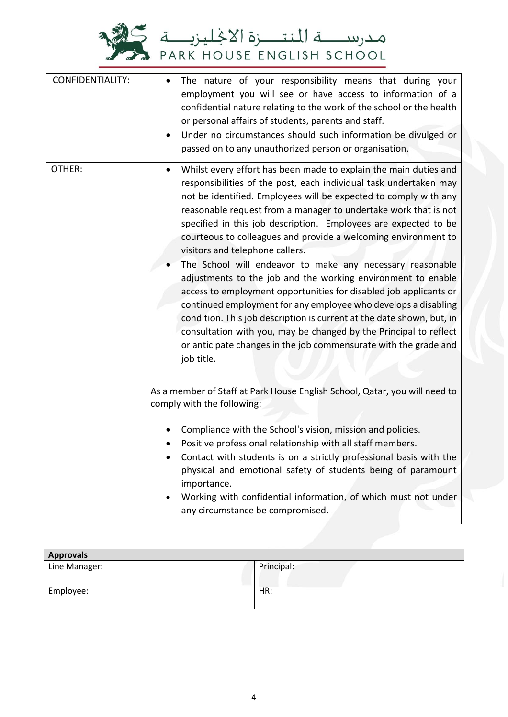

| <b>CONFIDENTIALITY:</b> | The nature of your responsibility means that during your<br>$\bullet$<br>employment you will see or have access to information of a<br>confidential nature relating to the work of the school or the health<br>or personal affairs of students, parents and staff.<br>Under no circumstances should such information be divulged or<br>$\bullet$<br>passed on to any unauthorized person or organisation.                                                                                                                                                                                                                                                                                                                                                                                                                                                                                                                                                             |
|-------------------------|-----------------------------------------------------------------------------------------------------------------------------------------------------------------------------------------------------------------------------------------------------------------------------------------------------------------------------------------------------------------------------------------------------------------------------------------------------------------------------------------------------------------------------------------------------------------------------------------------------------------------------------------------------------------------------------------------------------------------------------------------------------------------------------------------------------------------------------------------------------------------------------------------------------------------------------------------------------------------|
| OTHER:                  | Whilst every effort has been made to explain the main duties and<br>$\bullet$<br>responsibilities of the post, each individual task undertaken may<br>not be identified. Employees will be expected to comply with any<br>reasonable request from a manager to undertake work that is not<br>specified in this job description. Employees are expected to be<br>courteous to colleagues and provide a welcoming environment to<br>visitors and telephone callers.<br>The School will endeavor to make any necessary reasonable<br>adjustments to the job and the working environment to enable<br>access to employment opportunities for disabled job applicants or<br>continued employment for any employee who develops a disabling<br>condition. This job description is current at the date shown, but, in<br>consultation with you, may be changed by the Principal to reflect<br>or anticipate changes in the job commensurate with the grade and<br>job title. |
|                         | As a member of Staff at Park House English School, Qatar, you will need to<br>comply with the following:<br>Compliance with the School's vision, mission and policies.<br>Positive professional relationship with all staff members.<br>Contact with students is on a strictly professional basis with the<br>physical and emotional safety of students being of paramount<br>importance.<br>Working with confidential information, of which must not under<br>any circumstance be compromised.                                                                                                                                                                                                                                                                                                                                                                                                                                                                       |

| <b>Approvals</b> |            |  |
|------------------|------------|--|
| Line Manager:    | Principal: |  |
| Employee:        | HR:        |  |